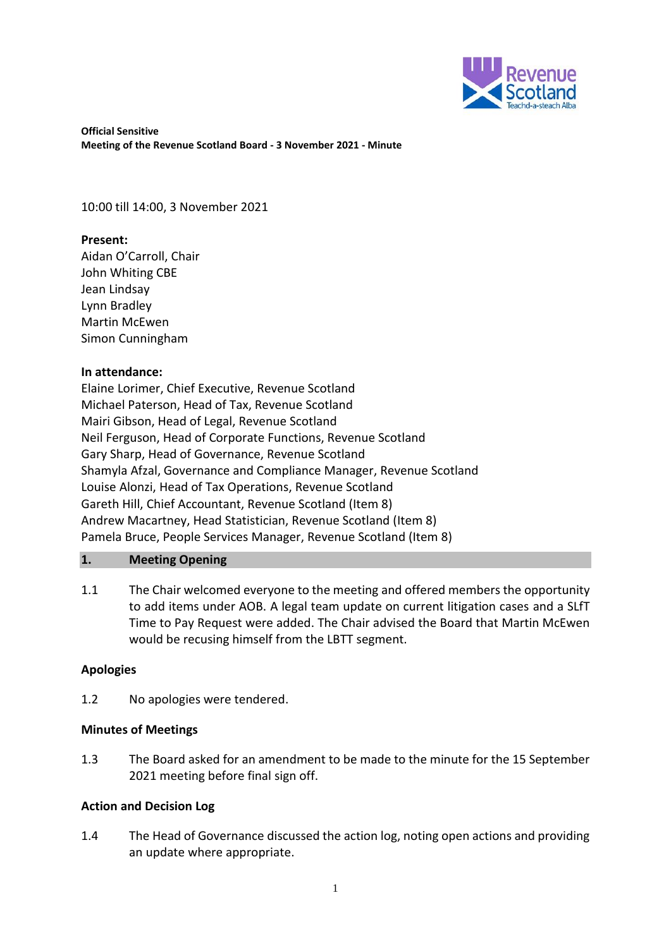

**Official Sensitive Meeting of the Revenue Scotland Board - 3 November 2021 - Minute** 

10:00 till 14:00, 3 November 2021

# **Present:**

Aidan O'Carroll, Chair John Whiting CBE Jean Lindsay Lynn Bradley Martin McEwen Simon Cunningham

# **In attendance:**

Elaine Lorimer, Chief Executive, Revenue Scotland Michael Paterson, Head of Tax, Revenue Scotland Mairi Gibson, Head of Legal, Revenue Scotland Neil Ferguson, Head of Corporate Functions, Revenue Scotland Gary Sharp, Head of Governance, Revenue Scotland Shamyla Afzal, Governance and Compliance Manager, Revenue Scotland Louise Alonzi, Head of Tax Operations, Revenue Scotland Gareth Hill, Chief Accountant, Revenue Scotland (Item 8) Andrew Macartney, Head Statistician, Revenue Scotland (Item 8) Pamela Bruce, People Services Manager, Revenue Scotland (Item 8)

# **1. Meeting Opening**

1.1 The Chair welcomed everyone to the meeting and offered members the opportunity to add items under AOB. A legal team update on current litigation cases and a SLfT Time to Pay Request were added. The Chair advised the Board that Martin McEwen would be recusing himself from the LBTT segment.

## **Apologies**

1.2 No apologies were tendered.

## **Minutes of Meetings**

1.3 The Board asked for an amendment to be made to the minute for the 15 September 2021 meeting before final sign off.

## **Action and Decision Log**

1.4 The Head of Governance discussed the action log, noting open actions and providing an update where appropriate.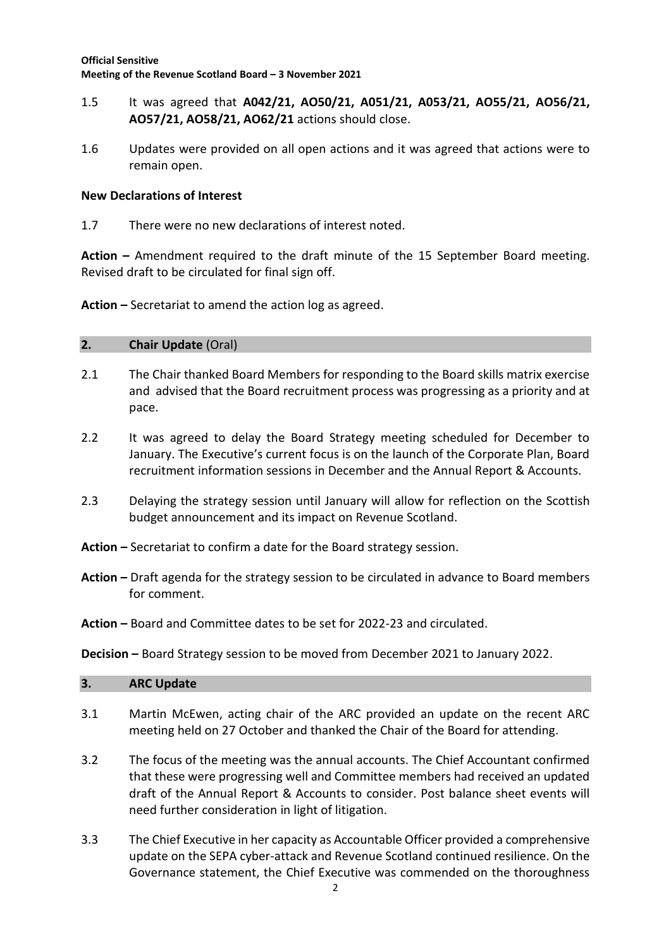- 1.5 It was agreed that **A042/21, AO50/21, A051/21, A053/21, AO55/21, AO56/21, AO57/21, AO58/21, AO62/21** actions should close.
- 1.6 Updates were provided on all open actions and it was agreed that actions were to remain open.

## **New Declarations of Interest**

1.7 There were no new declarations of interest noted.

**Action –** Amendment required to the draft minute of the 15 September Board meeting. Revised draft to be circulated for final sign off.

**Action –** Secretariat to amend the action log as agreed.

#### **2. Chair Update** (Oral)

- 2.1 The Chair thanked Board Members for responding to the Board skills matrix exercise and advised that the Board recruitment process was progressing as a priority and at pace.
- 2.2 It was agreed to delay the Board Strategy meeting scheduled for December to January. The Executive's current focus is on the launch of the Corporate Plan, Board recruitment information sessions in December and the Annual Report & Accounts.
- 2.3 Delaying the strategy session until January will allow for reflection on the Scottish budget announcement and its impact on Revenue Scotland.
- **Action –** Secretariat to confirm a date for the Board strategy session.
- **Action –** Draft agenda for the strategy session to be circulated in advance to Board members for comment.
- **Action –** Board and Committee dates to be set for 2022-23 and circulated.

#### **Decision –** Board Strategy session to be moved from December 2021 to January 2022.

| 3. | <b>ARC Update</b> |
|----|-------------------|
|    |                   |

- 3.1 Martin McEwen, acting chair of the ARC provided an update on the recent ARC meeting held on 27 October and thanked the Chair of the Board for attending.
- 3.2 The focus of the meeting was the annual accounts. The Chief Accountant confirmed that these were progressing well and Committee members had received an updated draft of the Annual Report & Accounts to consider. Post balance sheet events will need further consideration in light of litigation.
- 3.3 The Chief Executive in her capacity as Accountable Officer provided a comprehensive update on the SEPA cyber-attack and Revenue Scotland continued resilience. On the Governance statement, the Chief Executive was commended on the thoroughness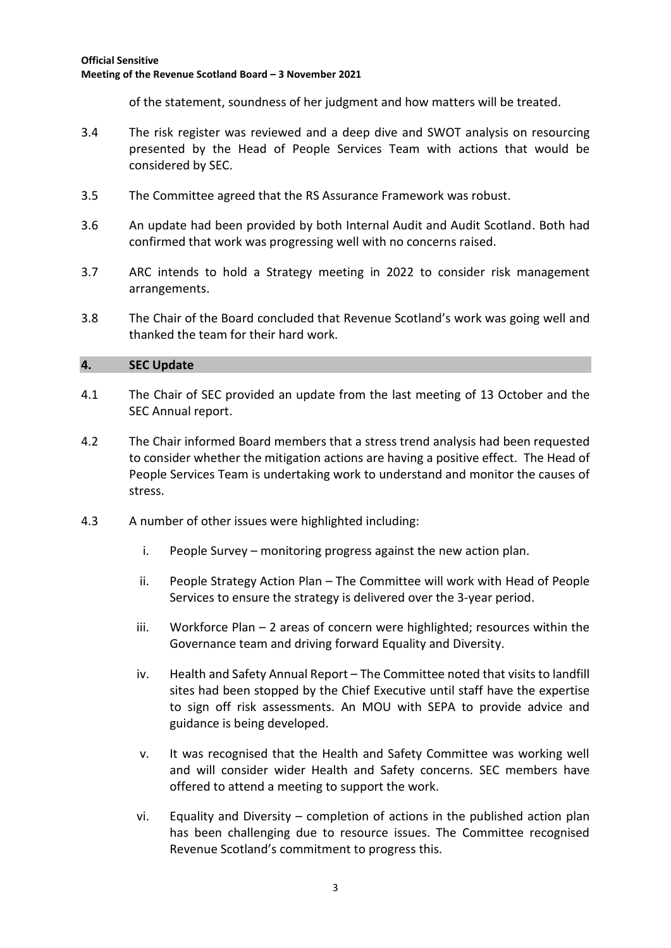of the statement, soundness of her judgment and how matters will be treated.

- 3.4 The risk register was reviewed and a deep dive and SWOT analysis on resourcing presented by the Head of People Services Team with actions that would be considered by SEC.
- 3.5 The Committee agreed that the RS Assurance Framework was robust.
- 3.6 An update had been provided by both Internal Audit and Audit Scotland. Both had confirmed that work was progressing well with no concerns raised.
- 3.7 ARC intends to hold a Strategy meeting in 2022 to consider risk management arrangements.
- 3.8 The Chair of the Board concluded that Revenue Scotland's work was going well and thanked the team for their hard work.

## **4. SEC Update**

- 4.1 The Chair of SEC provided an update from the last meeting of 13 October and the SEC Annual report.
- 4.2 The Chair informed Board members that a stress trend analysis had been requested to consider whether the mitigation actions are having a positive effect. The Head of People Services Team is undertaking work to understand and monitor the causes of stress.
- 4.3 A number of other issues were highlighted including:
	- i. People Survey monitoring progress against the new action plan.
	- ii. People Strategy Action Plan The Committee will work with Head of People Services to ensure the strategy is delivered over the 3-year period.
	- iii. Workforce Plan 2 areas of concern were highlighted; resources within the Governance team and driving forward Equality and Diversity.
	- iv. Health and Safety Annual Report The Committee noted that visits to landfill sites had been stopped by the Chief Executive until staff have the expertise to sign off risk assessments. An MOU with SEPA to provide advice and guidance is being developed.
	- v. It was recognised that the Health and Safety Committee was working well and will consider wider Health and Safety concerns. SEC members have offered to attend a meeting to support the work.
	- vi. Equality and Diversity completion of actions in the published action plan has been challenging due to resource issues. The Committee recognised Revenue Scotland's commitment to progress this.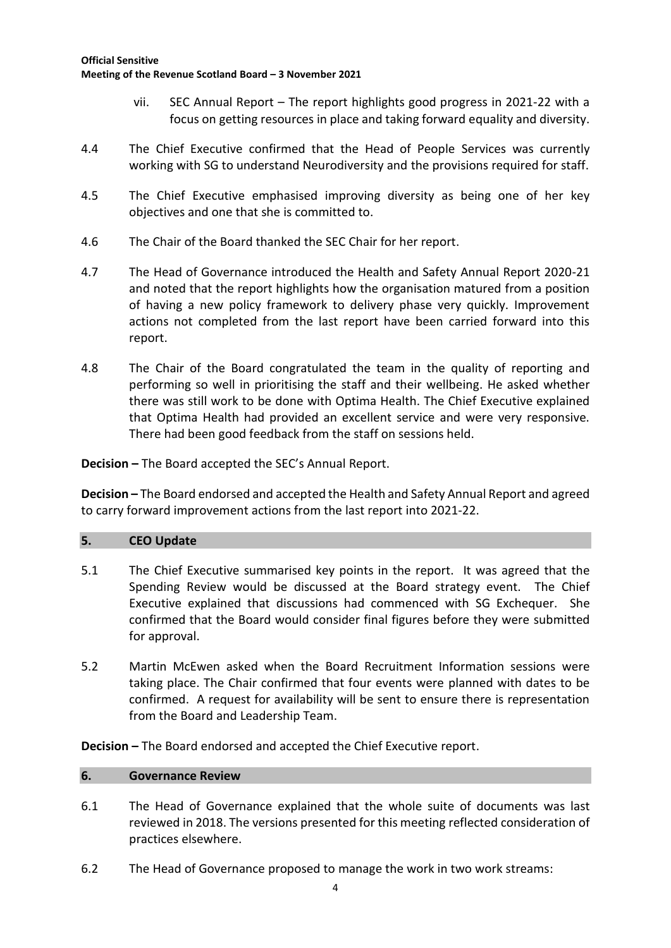- vii. SEC Annual Report The report highlights good progress in 2021-22 with a focus on getting resources in place and taking forward equality and diversity.
- 4.4 The Chief Executive confirmed that the Head of People Services was currently working with SG to understand Neurodiversity and the provisions required for staff.
- 4.5 The Chief Executive emphasised improving diversity as being one of her key objectives and one that she is committed to.
- 4.6 The Chair of the Board thanked the SEC Chair for her report.
- 4.7 The Head of Governance introduced the Health and Safety Annual Report 2020-21 and noted that the report highlights how the organisation matured from a position of having a new policy framework to delivery phase very quickly. Improvement actions not completed from the last report have been carried forward into this report.
- 4.8 The Chair of the Board congratulated the team in the quality of reporting and performing so well in prioritising the staff and their wellbeing. He asked whether there was still work to be done with Optima Health. The Chief Executive explained that Optima Health had provided an excellent service and were very responsive. There had been good feedback from the staff on sessions held.

**Decision –** The Board accepted the SEC's Annual Report.

**Decision –** The Board endorsed and accepted the Health and Safety Annual Report and agreed to carry forward improvement actions from the last report into 2021-22.

## **5. CEO Update**

- 5.1 The Chief Executive summarised key points in the report. It was agreed that the Spending Review would be discussed at the Board strategy event. The Chief Executive explained that discussions had commenced with SG Exchequer. She confirmed that the Board would consider final figures before they were submitted for approval.
- 5.2 Martin McEwen asked when the Board Recruitment Information sessions were taking place. The Chair confirmed that four events were planned with dates to be confirmed. A request for availability will be sent to ensure there is representation from the Board and Leadership Team.

**Decision –** The Board endorsed and accepted the Chief Executive report.

## **6. Governance Review**

- 6.1 The Head of Governance explained that the whole suite of documents was last reviewed in 2018. The versions presented for this meeting reflected consideration of practices elsewhere.
- 6.2 The Head of Governance proposed to manage the work in two work streams: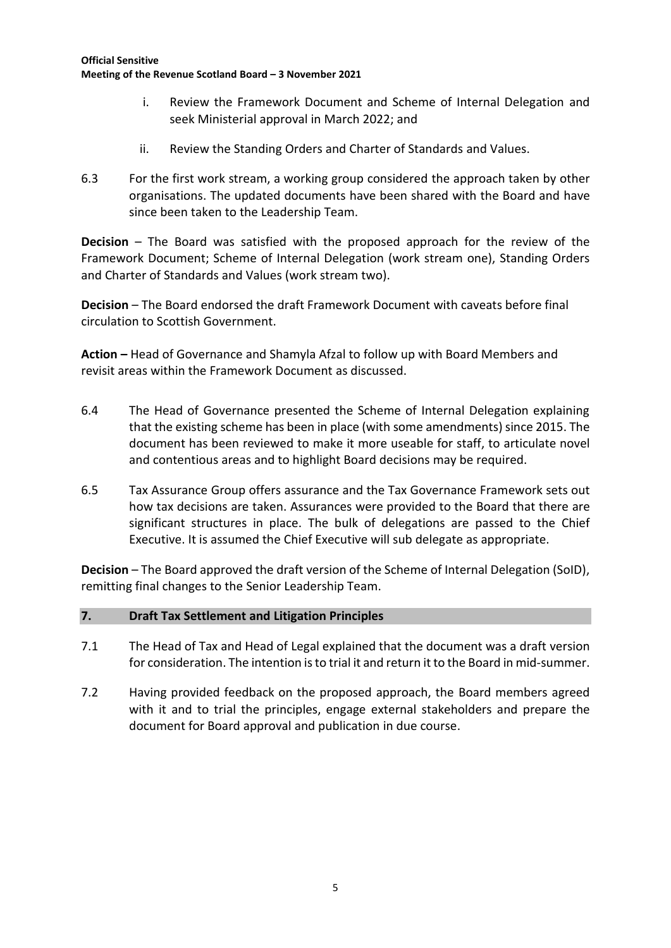- i. Review the Framework Document and Scheme of Internal Delegation and seek Ministerial approval in March 2022; and
- ii. Review the Standing Orders and Charter of Standards and Values.
- 6.3 For the first work stream, a working group considered the approach taken by other organisations. The updated documents have been shared with the Board and have since been taken to the Leadership Team.

**Decision** – The Board was satisfied with the proposed approach for the review of the Framework Document; Scheme of Internal Delegation (work stream one), Standing Orders and Charter of Standards and Values (work stream two).

**Decision** – The Board endorsed the draft Framework Document with caveats before final circulation to Scottish Government.

**Action –** Head of Governance and Shamyla Afzal to follow up with Board Members and revisit areas within the Framework Document as discussed.

- 6.4 The Head of Governance presented the Scheme of Internal Delegation explaining that the existing scheme has been in place (with some amendments) since 2015. The document has been reviewed to make it more useable for staff, to articulate novel and contentious areas and to highlight Board decisions may be required.
- 6.5 Tax Assurance Group offers assurance and the Tax Governance Framework sets out how tax decisions are taken. Assurances were provided to the Board that there are significant structures in place. The bulk of delegations are passed to the Chief Executive. It is assumed the Chief Executive will sub delegate as appropriate.

**Decision** – The Board approved the draft version of the Scheme of Internal Delegation (SoID), remitting final changes to the Senior Leadership Team.

## **7. Draft Tax Settlement and Litigation Principles**

- 7.1 The Head of Tax and Head of Legal explained that the document was a draft version for consideration. The intention is to trial it and return it to the Board in mid-summer.
- 7.2 Having provided feedback on the proposed approach, the Board members agreed with it and to trial the principles, engage external stakeholders and prepare the document for Board approval and publication in due course.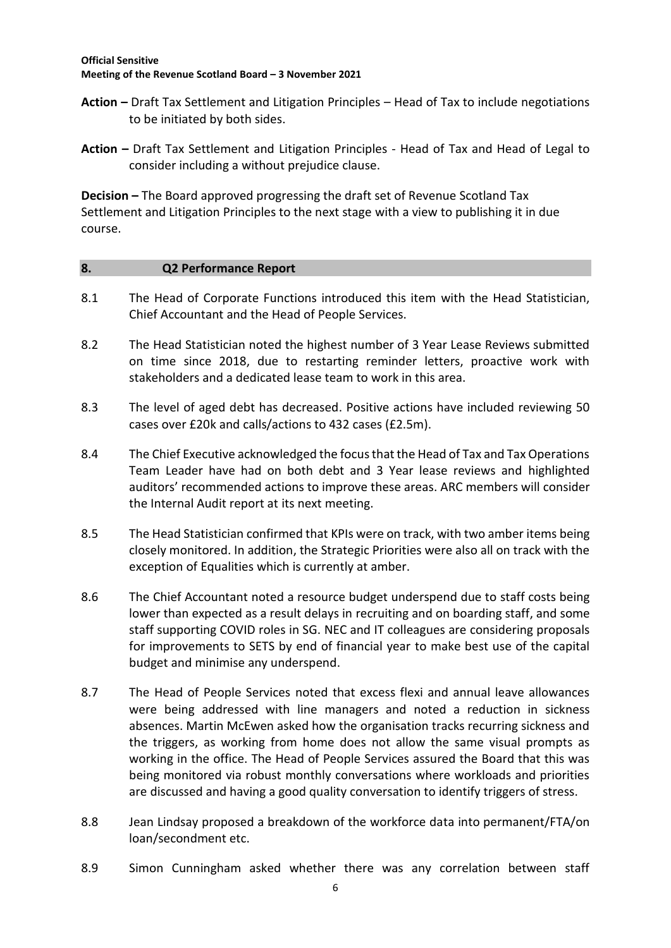- **Action –** Draft Tax Settlement and Litigation Principles Head of Tax to include negotiations to be initiated by both sides.
- **Action –** Draft Tax Settlement and Litigation Principles Head of Tax and Head of Legal to consider including a without prejudice clause.

**Decision –** The Board approved progressing the draft set of Revenue Scotland Tax Settlement and Litigation Principles to the next stage with a view to publishing it in due course.

#### **8. Q2 Performance Report**

- 8.1 The Head of Corporate Functions introduced this item with the Head Statistician, Chief Accountant and the Head of People Services.
- 8.2 The Head Statistician noted the highest number of 3 Year Lease Reviews submitted on time since 2018, due to restarting reminder letters, proactive work with stakeholders and a dedicated lease team to work in this area.
- 8.3 The level of aged debt has decreased. Positive actions have included reviewing 50 cases over £20k and calls/actions to 432 cases (£2.5m).
- 8.4 The Chief Executive acknowledged the focus that the Head of Tax and Tax Operations Team Leader have had on both debt and 3 Year lease reviews and highlighted auditors' recommended actions to improve these areas. ARC members will consider the Internal Audit report at its next meeting.
- 8.5 The Head Statistician confirmed that KPIs were on track, with two amber items being closely monitored. In addition, the Strategic Priorities were also all on track with the exception of Equalities which is currently at amber.
- 8.6 The Chief Accountant noted a resource budget underspend due to staff costs being lower than expected as a result delays in recruiting and on boarding staff, and some staff supporting COVID roles in SG. NEC and IT colleagues are considering proposals for improvements to SETS by end of financial year to make best use of the capital budget and minimise any underspend.
- 8.7 The Head of People Services noted that excess flexi and annual leave allowances were being addressed with line managers and noted a reduction in sickness absences. Martin McEwen asked how the organisation tracks recurring sickness and the triggers, as working from home does not allow the same visual prompts as working in the office. The Head of People Services assured the Board that this was being monitored via robust monthly conversations where workloads and priorities are discussed and having a good quality conversation to identify triggers of stress.
- 8.8 Jean Lindsay proposed a breakdown of the workforce data into permanent/FTA/on loan/secondment etc.
- 8.9 Simon Cunningham asked whether there was any correlation between staff